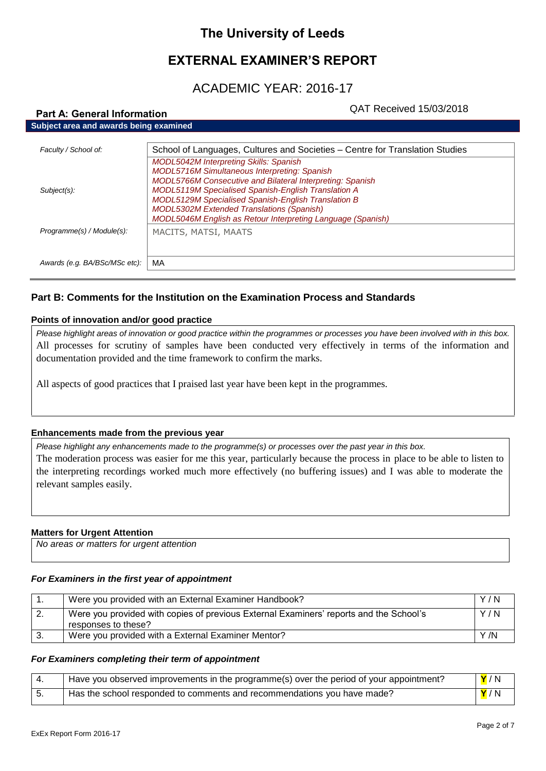# **The University of Leeds**

# **EXTERNAL EXAMINER'S REPORT**

# ACADEMIC YEAR: 2016-17

# QAT Received 15/03/2018

| Faculty / School of:          | School of Languages, Cultures and Societies – Centre for Translation Studies                                     |
|-------------------------------|------------------------------------------------------------------------------------------------------------------|
|                               | <b>MODL5042M Interpreting Skills: Spanish</b>                                                                    |
|                               | <b>MODL5716M Simultaneous Interpreting: Spanish</b><br>MODL5766M Consecutive and Bilateral Interpreting: Spanish |
| Subject(s):                   | <b>MODL5119M Specialised Spanish-English Translation A</b>                                                       |
|                               | <b>MODL5129M Specialised Spanish-English Translation B</b>                                                       |
|                               | <b>MODL5302M Extended Translations (Spanish)</b>                                                                 |
|                               | MODL5046M English as Retour Interpreting Language (Spanish)                                                      |
| Programme(s) / Module(s):     | MACITS, MATSI, MAATS                                                                                             |
|                               |                                                                                                                  |
|                               |                                                                                                                  |
| Awards (e.g. BA/BSc/MSc etc): | MA                                                                                                               |

# **Part B: Comments for the Institution on the Examination Process and Standards**

### **Points of innovation and/or good practice**

**Part A: General Information**

*Please highlight areas of innovation or good practice within the programmes or processes you have been involved with in this box.* All processes for scrutiny of samples have been conducted very effectively in terms of the information and documentation provided and the time framework to confirm the marks.

All aspects of good practices that I praised last year have been kept in the programmes.

#### **Enhancements made from the previous year**

*Please highlight any enhancements made to the programme(s) or processes over the past year in this box.* The moderation process was easier for me this year, particularly because the process in place to be able to listen to the interpreting recordings worked much more effectively (no buffering issues) and I was able to moderate the

relevant samples easily.

#### **Matters for Urgent Attention**

| No areas or matters for urgent attention |  |
|------------------------------------------|--|

#### *For Examiners in the first year of appointment*

|     | Were you provided with an External Examiner Handbook?                                                         | Y/N  |
|-----|---------------------------------------------------------------------------------------------------------------|------|
| -2. | Were you provided with copies of previous External Examiners' reports and the School's<br>responses to these? | Y/N  |
| 3.  | Were you provided with a External Examiner Mentor?                                                            | Y /N |

#### *For Examiners completing their term of appointment*

| Have you observed improvements in the programme(s) over the period of your appointment? | Y/N                |
|-----------------------------------------------------------------------------------------|--------------------|
| Has the school responded to comments and recommendations you have made?                 | <mark>Y</mark> / N |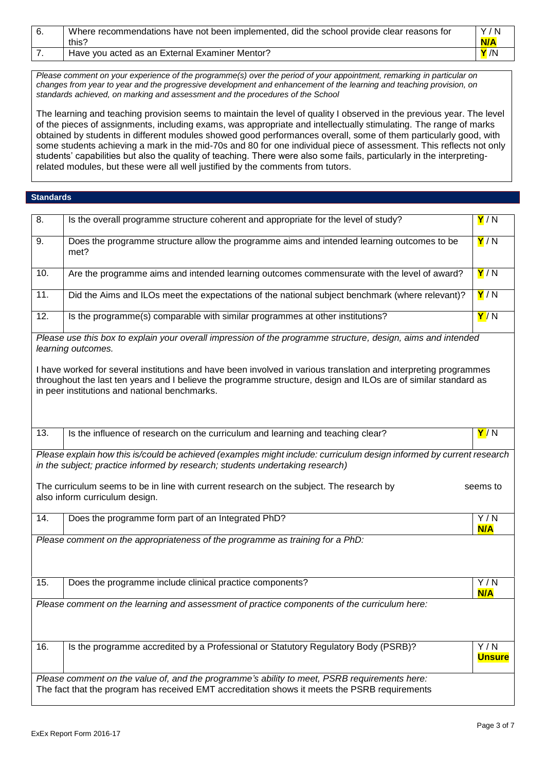| Where recommendations have not been implemented, did the school provide clear reasons for | Y/N  |
|-------------------------------------------------------------------------------------------|------|
| this?                                                                                     | N/A  |
| Have you acted as an External Examiner Mentor?                                            | Y /N |

*Please comment on your experience of the programme(s) over the period of your appointment, remarking in particular on changes from year to year and the progressive development and enhancement of the learning and teaching provision, on standards achieved, on marking and assessment and the procedures of the School*

The learning and teaching provision seems to maintain the level of quality I observed in the previous year. The level of the pieces of assignments, including exams, was appropriate and intellectually stimulating. The range of marks obtained by students in different modules showed good performances overall, some of them particularly good, with some students achieving a mark in the mid-70s and 80 for one individual piece of assessment. This reflects not only students' capabilities but also the quality of teaching. There were also some fails, particularly in the interpretingrelated modules, but these were all well justified by the comments from tutors.

### **Standards**

| 8.                                                                                                                                                                                                    | Is the overall programme structure coherent and appropriate for the level of study?                                                                                                                                                                                                  | Y/N                  |
|-------------------------------------------------------------------------------------------------------------------------------------------------------------------------------------------------------|--------------------------------------------------------------------------------------------------------------------------------------------------------------------------------------------------------------------------------------------------------------------------------------|----------------------|
| 9.                                                                                                                                                                                                    | Does the programme structure allow the programme aims and intended learning outcomes to be<br>met?                                                                                                                                                                                   | Y/N                  |
| 10.                                                                                                                                                                                                   | Are the programme aims and intended learning outcomes commensurate with the level of award?                                                                                                                                                                                          | Y/N                  |
| 11.                                                                                                                                                                                                   | Did the Aims and ILOs meet the expectations of the national subject benchmark (where relevant)?                                                                                                                                                                                      | Y/N                  |
| 12.                                                                                                                                                                                                   | Is the programme(s) comparable with similar programmes at other institutions?                                                                                                                                                                                                        | Y/N                  |
|                                                                                                                                                                                                       | Please use this box to explain your overall impression of the programme structure, design, aims and intended<br>learning outcomes.                                                                                                                                                   |                      |
|                                                                                                                                                                                                       | I have worked for several institutions and have been involved in various translation and interpreting programmes<br>throughout the last ten years and I believe the programme structure, design and ILOs are of similar standard as<br>in peer institutions and national benchmarks. |                      |
| 13.                                                                                                                                                                                                   | Is the influence of research on the curriculum and learning and teaching clear?                                                                                                                                                                                                      | Y/N                  |
| Please explain how this is/could be achieved (examples might include: curriculum design informed by current research<br>in the subject; practice informed by research; students undertaking research) |                                                                                                                                                                                                                                                                                      |                      |
|                                                                                                                                                                                                       | The curriculum seems to be in line with current research on the subject. The research by<br>also inform curriculum design.                                                                                                                                                           | seems to             |
| 14.                                                                                                                                                                                                   | Does the programme form part of an Integrated PhD?                                                                                                                                                                                                                                   | Y/N<br>N/A           |
|                                                                                                                                                                                                       | Please comment on the appropriateness of the programme as training for a PhD:                                                                                                                                                                                                        |                      |
| 15.                                                                                                                                                                                                   | Does the programme include clinical practice components?                                                                                                                                                                                                                             | Y/N<br>N/A           |
|                                                                                                                                                                                                       | Please comment on the learning and assessment of practice components of the curriculum here:                                                                                                                                                                                         |                      |
| 16.                                                                                                                                                                                                   | Is the programme accredited by a Professional or Statutory Regulatory Body (PSRB)?                                                                                                                                                                                                   | Y/N<br><b>Unsure</b> |
| Please comment on the value of, and the programme's ability to meet, PSRB requirements here:<br>The fact that the program has received EMT accreditation shows it meets the PSRB requirements         |                                                                                                                                                                                                                                                                                      |                      |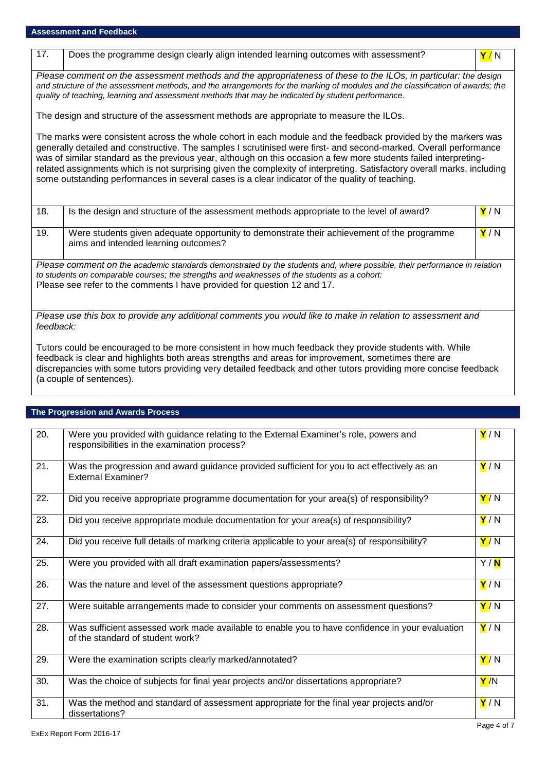17. Does the programme design clearly align intended learning outcomes with assessment? **Y** / N

*Please comment on the assessment methods and the appropriateness of these to the ILOs, in particular: the design and structure of the assessment methods, and the arrangements for the marking of modules and the classification of awards; the quality of teaching, learning and assessment methods that may be indicated by student performance.*

The design and structure of the assessment methods are appropriate to measure the ILOs.

The marks were consistent across the whole cohort in each module and the feedback provided by the markers was generally detailed and constructive. The samples I scrutinised were first- and second-marked. Overall performance was of similar standard as the previous year, although on this occasion a few more students failed interpretingrelated assignments which is not surprising given the complexity of interpreting. Satisfactory overall marks, including some outstanding performances in several cases is a clear indicator of the quality of teaching.

| 18.                                                                                                                                                                                                                                                                                                  | Is the design and structure of the assessment methods appropriate to the level of award?                                           | Y/N |
|------------------------------------------------------------------------------------------------------------------------------------------------------------------------------------------------------------------------------------------------------------------------------------------------------|------------------------------------------------------------------------------------------------------------------------------------|-----|
| 19.                                                                                                                                                                                                                                                                                                  | Were students given adequate opportunity to demonstrate their achievement of the programme<br>aims and intended learning outcomes? | Y/N |
| Please comment on the academic standards demonstrated by the students and, where possible, their performance in relation<br>to students on comparable courses; the strengths and weaknesses of the students as a cohort:<br>Please see refer to the comments I have provided for question 12 and 17. |                                                                                                                                    |     |
| Please use this box to provide any additional comments you would like to make in relation to assessment and<br>feedback:                                                                                                                                                                             |                                                                                                                                    |     |

Tutors could be encouraged to be more consistent in how much feedback they provide students with. While feedback is clear and highlights both areas strengths and areas for improvement, sometimes there are discrepancies with some tutors providing very detailed feedback and other tutors providing more concise feedback (a couple of sentences).

#### **The Progression and Awards Process**

| 20. | Were you provided with guidance relating to the External Examiner's role, powers and<br>responsibilities in the examination process? | Y/N               |
|-----|--------------------------------------------------------------------------------------------------------------------------------------|-------------------|
| 21. | Was the progression and award guidance provided sufficient for you to act effectively as an<br><b>External Examiner?</b>             | Y/N               |
| 22. | Did you receive appropriate programme documentation for your area(s) of responsibility?                                              | Y/N               |
| 23. | Did you receive appropriate module documentation for your area(s) of responsibility?                                                 | Y/N               |
| 24. | Did you receive full details of marking criteria applicable to your area(s) of responsibility?                                       | Y/N               |
| 25. | Were you provided with all draft examination papers/assessments?                                                                     | Y/ <mark>N</mark> |
| 26. | Was the nature and level of the assessment questions appropriate?                                                                    | Y/N               |
| 27. | Were suitable arrangements made to consider your comments on assessment questions?                                                   | Y/N               |
| 28. | Was sufficient assessed work made available to enable you to have confidence in your evaluation<br>of the standard of student work?  | Y/N               |
| 29. | Were the examination scripts clearly marked/annotated?                                                                               | Y/N               |
| 30. | Was the choice of subjects for final year projects and/or dissertations appropriate?                                                 | Y /N              |
| 31. | Was the method and standard of assessment appropriate for the final year projects and/or<br>dissertations?                           | Y/N               |